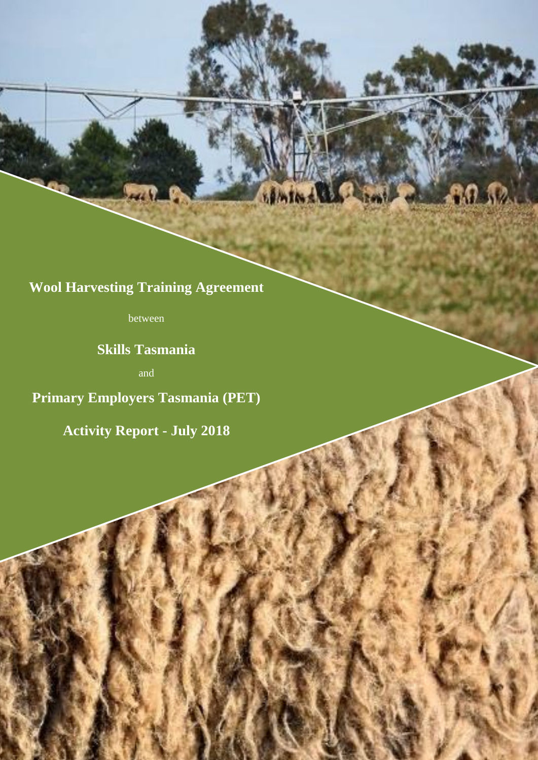**Wool Harvesting Training Agreement**

nemind

between

**Skills Tasmania**

and

**Primary Employers Tasmania (PET)**

**Activity Report - July 2018**

1

 $0.12$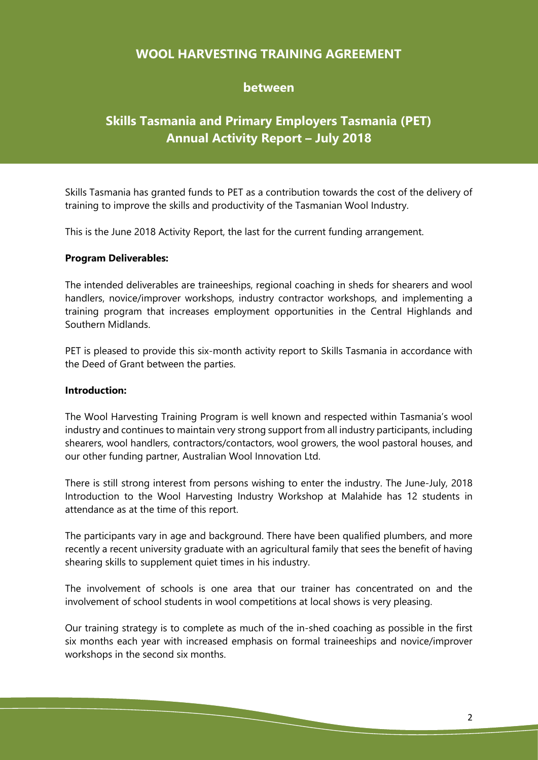## **WOOL HARVESTING TRAINING AGREEMENT**

## **between**

# **Skills Tasmania and Primary Employers Tasmania (PET) Annual Activity Report – July 2018**

Skills Tasmania has granted funds to PET as a contribution towards the cost of the delivery of training to improve the skills and productivity of the Tasmanian Wool Industry.

This is the June 2018 Activity Report, the last for the current funding arrangement.

#### **Program Deliverables:**

The intended deliverables are traineeships, regional coaching in sheds for shearers and wool handlers, novice/improver workshops, industry contractor workshops, and implementing a training program that increases employment opportunities in the Central Highlands and Southern Midlands.

PET is pleased to provide this six-month activity report to Skills Tasmania in accordance with the Deed of Grant between the parties.

#### **Introduction:**

The Wool Harvesting Training Program is well known and respected within Tasmania's wool industry and continues to maintain very strong support from all industry participants, including shearers, wool handlers, contractors/contactors, wool growers, the wool pastoral houses, and our other funding partner, Australian Wool Innovation Ltd.

There is still strong interest from persons wishing to enter the industry. The June-July, 2018 Introduction to the Wool Harvesting Industry Workshop at Malahide has 12 students in attendance as at the time of this report.

The participants vary in age and background. There have been qualified plumbers, and more recently a recent university graduate with an agricultural family that sees the benefit of having shearing skills to supplement quiet times in his industry.

The involvement of schools is one area that our trainer has concentrated on and the involvement of school students in wool competitions at local shows is very pleasing.

Our training strategy is to complete as much of the in-shed coaching as possible in the first six months each year with increased emphasis on formal traineeships and novice/improver workshops in the second six months.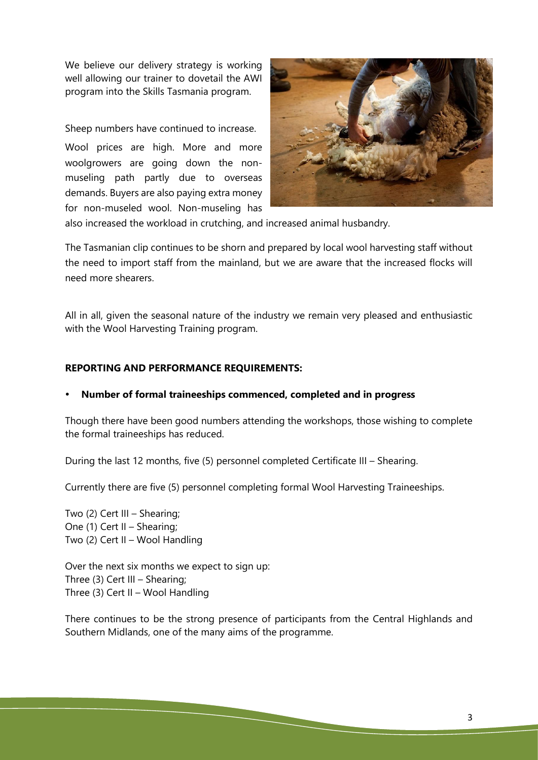We believe our delivery strategy is working well allowing our trainer to dovetail the AWI program into the Skills Tasmania program.

Sheep numbers have continued to increase.

Wool prices are high. More and more woolgrowers are going down the nonmuseling path partly due to overseas demands. Buyers are also paying extra money for non-museled wool. Non-museling has



also increased the workload in crutching, and increased animal husbandry.

The Tasmanian clip continues to be shorn and prepared by local wool harvesting staff without the need to import staff from the mainland, but we are aware that the increased flocks will need more shearers.

All in all, given the seasonal nature of the industry we remain very pleased and enthusiastic with the Wool Harvesting Training program.

### **REPORTING AND PERFORMANCE REQUIREMENTS:**

#### **Number of formal traineeships commenced, completed and in progress**

Though there have been good numbers attending the workshops, those wishing to complete the formal traineeships has reduced.

During the last 12 months, five (5) personnel completed Certificate III – Shearing.

Currently there are five (5) personnel completing formal Wool Harvesting Traineeships.

Two (2) Cert III – Shearing; One (1) Cert II – Shearing; Two (2) Cert II – Wool Handling

Over the next six months we expect to sign up: Three (3) Cert III – Shearing; Three (3) Cert II – Wool Handling

There continues to be the strong presence of participants from the Central Highlands and Southern Midlands, one of the many aims of the programme.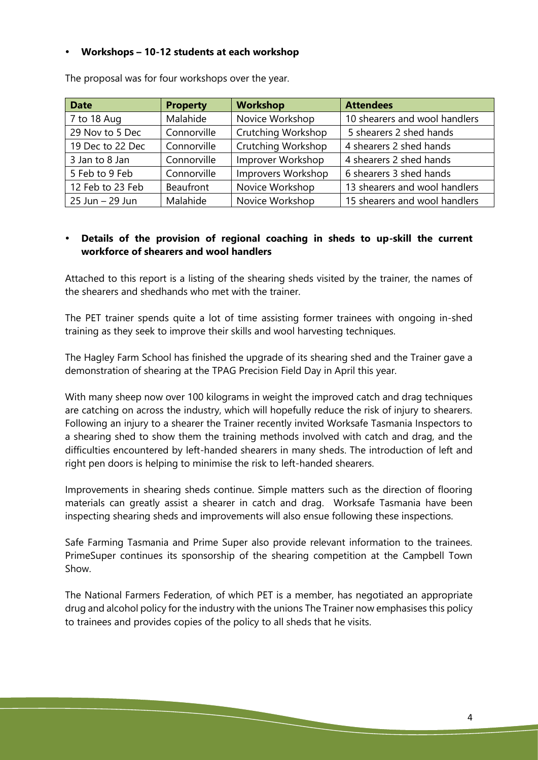#### **Workshops – 10-12 students at each workshop**

| <b>Date</b>      | <b>Property</b> | <b>Workshop</b>           | <b>Attendees</b>              |
|------------------|-----------------|---------------------------|-------------------------------|
| 7 to 18 Aug      | Malahide        | Novice Workshop           | 10 shearers and wool handlers |
| 29 Nov to 5 Dec  | Connorville     | <b>Crutching Workshop</b> | 5 shearers 2 shed hands       |
| 19 Dec to 22 Dec | Connorville     | <b>Crutching Workshop</b> | 4 shearers 2 shed hands       |
| 3 Jan to 8 Jan   | Connorville     | Improver Workshop         | 4 shearers 2 shed hands       |
| 5 Feb to 9 Feb   | Connorville     | Improvers Workshop        | 6 shearers 3 shed hands       |
| 12 Feb to 23 Feb | Beaufront       | Novice Workshop           | 13 shearers and wool handlers |
| 25 Jun - 29 Jun  | Malahide        | Novice Workshop           | 15 shearers and wool handlers |

The proposal was for four workshops over the year.

#### **Details of the provision of regional coaching in sheds to up-skill the current workforce of shearers and wool handlers**

Attached to this report is a listing of the shearing sheds visited by the trainer, the names of the shearers and shedhands who met with the trainer.

The PET trainer spends quite a lot of time assisting former trainees with ongoing in-shed training as they seek to improve their skills and wool harvesting techniques.

The Hagley Farm School has finished the upgrade of its shearing shed and the Trainer gave a demonstration of shearing at the TPAG Precision Field Day in April this year.

With many sheep now over 100 kilograms in weight the improved catch and drag techniques are catching on across the industry, which will hopefully reduce the risk of injury to shearers. Following an injury to a shearer the Trainer recently invited Worksafe Tasmania Inspectors to a shearing shed to show them the training methods involved with catch and drag, and the difficulties encountered by left-handed shearers in many sheds. The introduction of left and right pen doors is helping to minimise the risk to left-handed shearers.

Improvements in shearing sheds continue. Simple matters such as the direction of flooring materials can greatly assist a shearer in catch and drag. Worksafe Tasmania have been inspecting shearing sheds and improvements will also ensue following these inspections.

Safe Farming Tasmania and Prime Super also provide relevant information to the trainees. PrimeSuper continues its sponsorship of the shearing competition at the Campbell Town Show.

The National Farmers Federation, of which PET is a member, has negotiated an appropriate drug and alcohol policy for the industry with the unions The Trainer now emphasises this policy to trainees and provides copies of the policy to all sheds that he visits.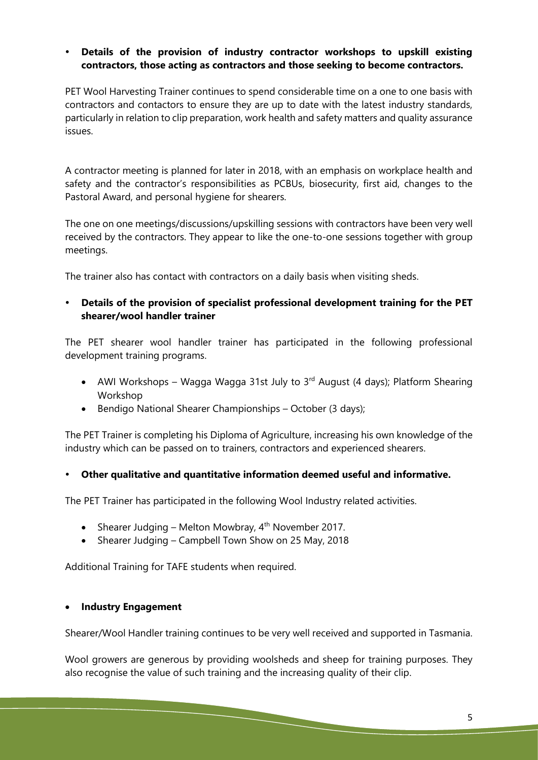#### **Details of the provision of industry contractor workshops to upskill existing contractors, those acting as contractors and those seeking to become contractors.**

PET Wool Harvesting Trainer continues to spend considerable time on a one to one basis with contractors and contactors to ensure they are up to date with the latest industry standards, particularly in relation to clip preparation, work health and safety matters and quality assurance issues.

A contractor meeting is planned for later in 2018, with an emphasis on workplace health and safety and the contractor's responsibilities as PCBUs, biosecurity, first aid, changes to the Pastoral Award, and personal hygiene for shearers.

The one on one meetings/discussions/upskilling sessions with contractors have been very well received by the contractors. They appear to like the one-to-one sessions together with group meetings.

The trainer also has contact with contractors on a daily basis when visiting sheds.

#### **Details of the provision of specialist professional development training for the PET shearer/wool handler trainer**

The PET shearer wool handler trainer has participated in the following professional development training programs.

- AWI Workshops Wagga Wagga 31st July to  $3<sup>rd</sup>$  August (4 days); Platform Shearing Workshop
- Bendigo National Shearer Championships October (3 days);

The PET Trainer is completing his Diploma of Agriculture, increasing his own knowledge of the industry which can be passed on to trainers, contractors and experienced shearers.

#### **Other qualitative and quantitative information deemed useful and informative.**

The PET Trainer has participated in the following Wool Industry related activities.

- Shearer Judging Melton Mowbray,  $4^{th}$  November 2017.
- Shearer Judging Campbell Town Show on 25 May, 2018

Additional Training for TAFE students when required.

#### **Industry Engagement**

Shearer/Wool Handler training continues to be very well received and supported in Tasmania.

Wool growers are generous by providing woolsheds and sheep for training purposes. They also recognise the value of such training and the increasing quality of their clip.